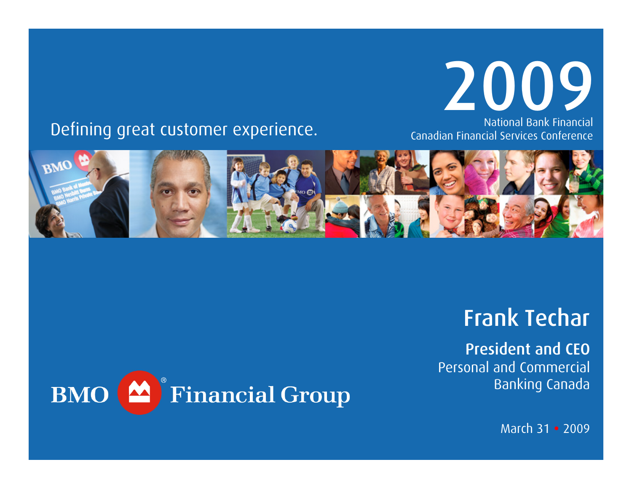

#### National Bank Financial Canadian Financial Services Conference

### Defining great customer experience.



## Frank Techar

President and CEOPersonal and Commercial Banking Canada



March 31 • 2009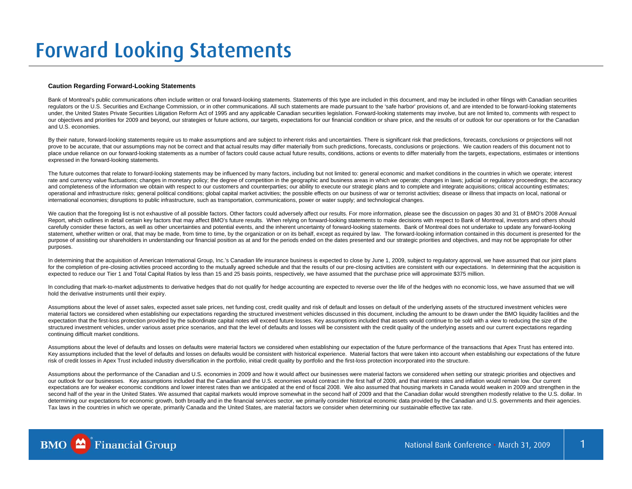#### **Caution Regarding Forward-Looking Statements**

Bank of Montreal's public communications often include written or oral forward-looking statements. Statements of this type are included in this document, and may be included in other filings with Canadian securities regulators or the U.S. Securities and Exchange Commission, or in other communications. All such statements are made pursuant to the 'safe harbor' provisions of, and are intended to be forward-looking statements under, the United States Private Securities Litigation Reform Act of 1995 and any applicable Canadian securities legislation. Forward-looking statements may involve, but are not limited to, comments with respect to our objectives and priorities for 2009 and beyond, our strategies or future actions, our targets, expectations for our financial condition or share price, and the results of or outlook for our operations or for the Canadia and U.S. economies.

By their nature, forward-looking statements require us to make assumptions and are subject to inherent risks and uncertainties. There is significant risk that predictions, forecasts, conclusions or projections will not prove to be accurate, that our assumptions may not be correct and that actual results may differ materially from such predictions, forecasts, conclusions or projections. We caution readers of this document not to place undue reliance on our forward-looking statements as a number of factors could cause actual future results, conditions, actions or events to differ materially from the targets, expectations, estimates or intentions expressed in the forward-looking statements.

The future outcomes that relate to forward-looking statements may be influenced by many factors, including but not limited to: general economic and market conditions in the countries in which we operate; interest rate and currency value fluctuations; changes in monetary policy; the degree of competition in the geographic and business areas in which we operate; changes in laws; judicial or regulatory proceedings; the accuracy and completeness of the information we obtain with respect to our customers and counterparties; our ability to execute our strategic plans and to complete and integrate acquisitions; critical accounting estimates; operational and infrastructure risks; general political conditions; global capital market activities; the possible effects on our business of war or terrorist activities; disease or illness that impacts on local, national or international economies; disruptions to public infrastructure, such as transportation, communications, power or water supply; and technological changes.

We caution that the foregoing list is not exhaustive of all possible factors. Other factors could adversely affect our results. For more information, please see the discussion on pages 30 and 31 of BMO's 2008 Annual Report, which outlines in detail certain key factors that may affect BMO's future results. When relying on forward-looking statements to make decisions with respect to Bank of Montreal, investors and others should carefully consider these factors, as well as other uncertainties and potential events, and the inherent uncertainty of forward-looking statements. Bank of Montreal does not undertake to update any forward-looking statement, whether written or oral, that may be made, from time to time, by the organization or on its behalf, except as required by law. The forward-looking information contained in this document is presented for the purpose of assisting our shareholders in understanding our financial position as at and for the periods ended on the dates presented and our strategic priorities and objectives, and may not be appropriate for other purposes.

In determining that the acquisition of American International Group, Inc.'s Canadian life insurance business is expected to close by June 1, 2009, subject to regulatory approval, we have assumed that our joint plans for the completion of pre-closing activities proceed according to the mutually agreed schedule and that the results of our pre-closing activities are consistent with our expectations. In determining that the acquisition is expected to reduce our Tier 1 and Total Capital Ratios by less than 15 and 25 basis points, respectively, we have assumed that the purchase price will approximate \$375 million.

In concluding that mark-to-market adjustments to derivative hedges that do not qualify for hedge accounting are expected to reverse over the life of the hedges with no economic loss, we have assumed that we will hold the derivative instruments until their expiry.

Assumptions about the level of asset sales, expected asset sale prices, net funding cost, credit quality and risk of default and losses on default of the underlying assets of the structured investment vehicles were material factors we considered when establishing our expectations regarding the structured investment vehicles discussed in this document, including the amount to be drawn under the BMO liquidity facilities and the expectation that the first-loss protection provided by the subordinate capital notes will exceed future losses. Key assumptions included that assets would continue to be sold with a view to reducing the size of the structured investment vehicles, under various asset price scenarios, and that the level of defaults and losses will be consistent with the credit quality of the underlying assets and our current expectations regarding continuing difficult market conditions.

Assumptions about the level of defaults and losses on defaults were material factors we considered when establishing our expectation of the future performance of the transactions that Apex Trust has entered into. Key assumptions included that the level of defaults and losses on defaults would be consistent with historical experience. Material factors that were taken into account when establishing our expectations of the future risk of credit losses in Apex Trust included industry diversification in the portfolio, initial credit quality by portfolio and the first-loss protection incorporated into the structure.

Assumptions about the performance of the Canadian and U.S. economies in 2009 and how it would affect our businesses were material factors we considered when setting our strategic priorities and objectives and our outlook for our businesses. Key assumptions included that the Canadian and the U.S. economies would contract in the first half of 2009, and that interest rates and inflation would remain low. Our current expectations are for weaker economic conditions and lower interest rates than we anticipated at the end of fiscal 2008. We also assumed that housing markets in Canada would weaken in 2009 and strengthen in the second half of the year in the United States. We assumed that capital markets would improve somewhat in the second half of 2009 and that the Canadian dollar would strengthen modestly relative to the U.S. dollar. In determining our expectations for economic growth, both broadly and in the financial services sector, we primarily consider historical economic data provided by the Canadian and U.S. governments and their agencies. Tax laws in the countries in which we operate, primarily Canada and the United States, are material factors we consider when determining our sustainable effective tax rate.

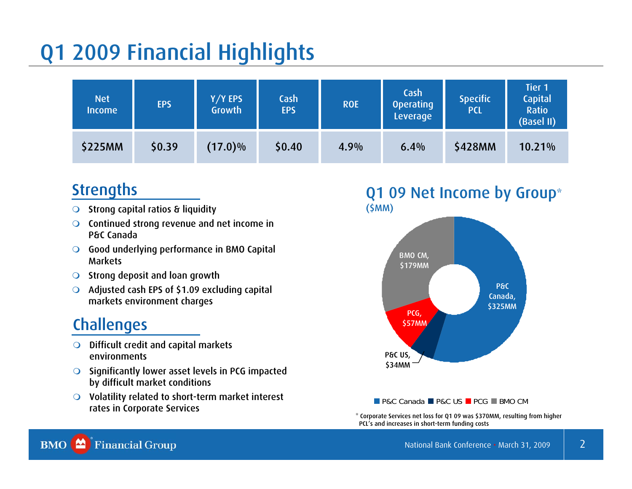# Q1 2009 Financial Highlights

| <b>Net</b><br><b>Income</b> | <b>EPS</b> | Y/Y EPS<br>Growth | Cash<br><b>EPS</b> | <b>ROE</b> | Cash<br><b>Operating</b><br>Leverage | <b>Specific</b><br><b>PCL</b> | <b>Tier 1</b><br><b>Capital</b><br><b>Ratio</b><br>(Basel II) |
|-----------------------------|------------|-------------------|--------------------|------------|--------------------------------------|-------------------------------|---------------------------------------------------------------|
| <b>\$225MM</b>              | \$0.39     | $(17.0)\%$        | \$0.40             | 4.9%       | 6.4%                                 | \$428MM                       | 10.21%                                                        |

### **Strengths**

- $\bigcirc$ Strong capital ratios & liquidity
- $\Omega$  Continued strong revenue and net income in P&C Canada
- $\Omega$  Good underlying performance in BMO Capital **Markets**
- $\bullet$ Strong deposit and loan growth
- $\circ$  Adjusted cash EPS of \$1.09 excluding capital markets environment charges

### **Challenges**

- $\Omega$  Difficult credit and capital markets environments
- $\Omega$  Significantly lower asset levels in PCG impacted by difficult market conditions
- $\overline{O}$  Volatility related to short-term market interest rates in Corporate Services

#### Q1 09 Net Income by Group\* (\$MM)



#### P&C Canada ■ P&C US ■ PCG ■ BMO CM

\* Corporate Services net loss for Q1 09 was \$370MM, resulting from higher PCL's and increases in short-term funding costs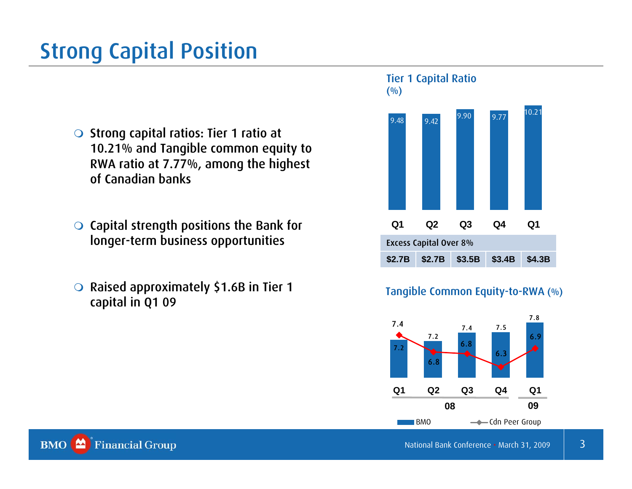# Strong Capital Position

- $\bigcirc$  Strong capital ratios: Tier 1 ratio at 10.21% and Tangible common equity to RWA ratio at 7.77%, among the highest of Canadian banks
- $\bigcirc$  Capital strength positions the Bank for longer-term business opportunities
- $\bigcirc$  Raised approximately \$1.6B in Tier 1 capital in Q1 09



#### Tangible Common Equity-to-RWA (%)

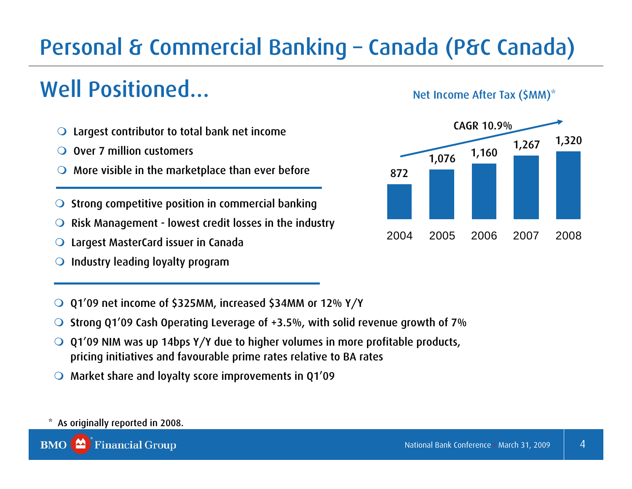# Personal & Commercial Banking – Canada (P&C Canada)

# Well Positioned…

 $\mathbf O$ Largest contributor to total bank net income

 $\mathbf O$ Over 7 million customers

 $\mathbf O$ More visible in the marketplace than ever before

 $\bigcirc$ Strong competitive position in commercial banking

 $\mathbf O$ Risk Management - lowest credit losses in the industry

 $\bigcirc$ Largest MasterCard issuer in Canada

 $\bigcirc$ Industry leading loyalty program

 $\bigcirc$ Q1'09 net income of \$325MM, increased \$34MM or 12% Y/Y

 $\bullet$ Strong Q1'09 Cash Operating Leverage of +3.5%, with solid revenue growth of 7%

 $\bigcirc$  Q1'09 NIM was up 14bps Y/Y due to higher volumes in more profitable products, pricing initiatives and favourable prime rates relative to BA rates

Market share and loyalty score improvements in Q1'09

#### As originally reported in 2008.

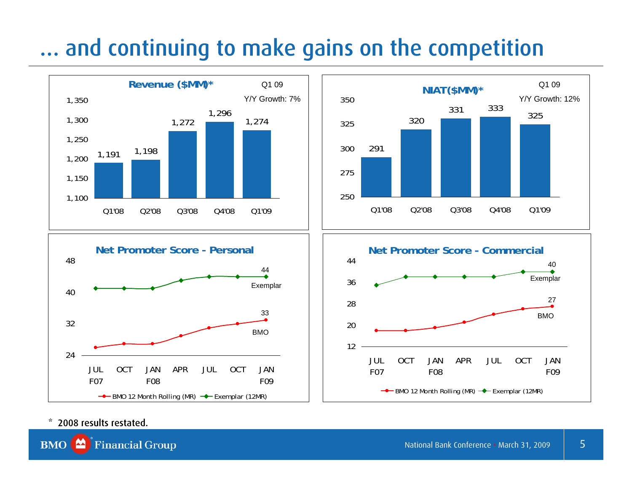# … and continuing to make gains on the competition









#### \* 2008 results restated.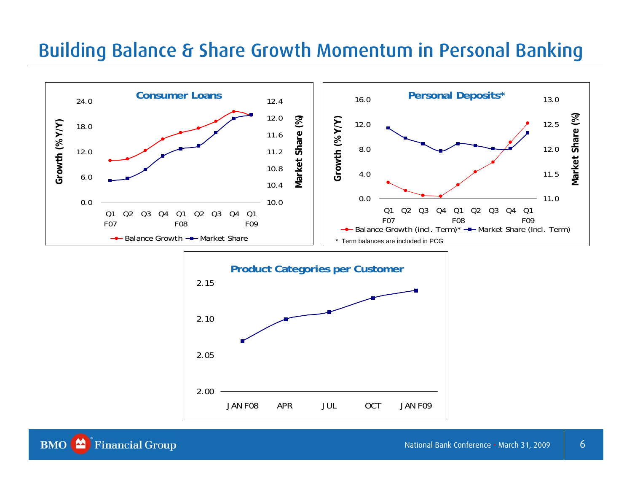### Building Balance & Share Growth Momentum in Personal Banking

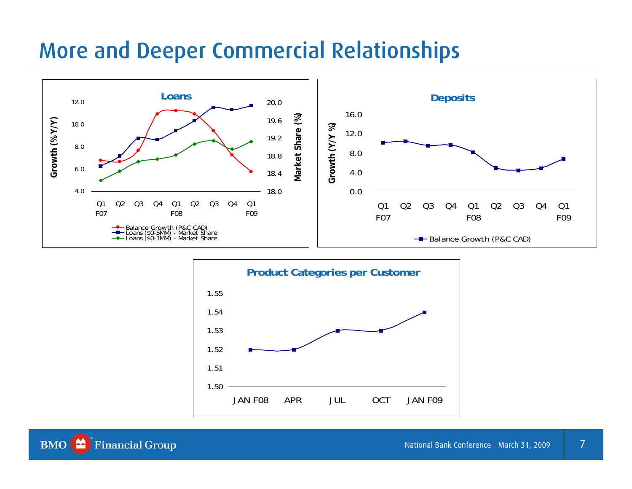### More and Deeper Commercial Relationships





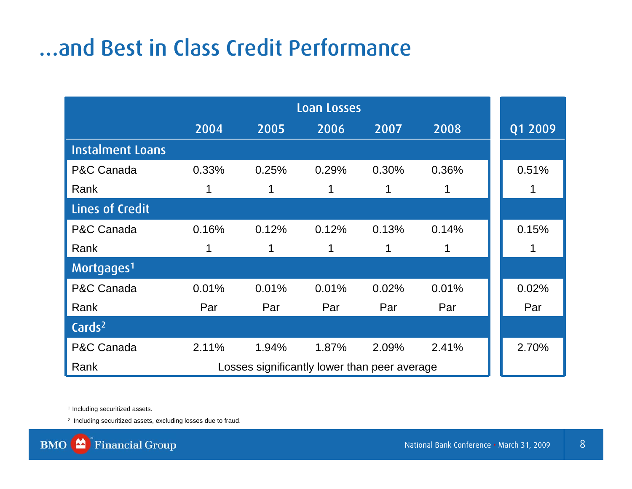# …and Best in Class Credit Performance

|                         | 2004                                         | 2005  | 2006  | 2007  | 2008  |  | Q1 2009 |  |
|-------------------------|----------------------------------------------|-------|-------|-------|-------|--|---------|--|
| <b>Instalment Loans</b> |                                              |       |       |       |       |  |         |  |
| P&C Canada              | 0.33%                                        | 0.25% | 0.29% | 0.30% | 0.36% |  | 0.51%   |  |
| Rank                    |                                              | 1     |       | 1     |       |  |         |  |
| <b>Lines of Credit</b>  |                                              |       |       |       |       |  |         |  |
| P&C Canada              | 0.16%                                        | 0.12% | 0.12% | 0.13% | 0.14% |  | 0.15%   |  |
| Rank                    |                                              | 1     | 1     | 1     | 1     |  | 1       |  |
| Mortgages <sup>1</sup>  |                                              |       |       |       |       |  |         |  |
| P&C Canada              | 0.01%                                        | 0.01% | 0.01% | 0.02% | 0.01% |  | 0.02%   |  |
| Rank                    | Par                                          | Par   | Par   | Par   | Par   |  | Par     |  |
| Cards <sup>2</sup>      |                                              |       |       |       |       |  |         |  |
| P&C Canada              | 2.11%                                        | 1.94% | 1.87% | 2.09% | 2.41% |  | 2.70%   |  |
| Rank                    | Losses significantly lower than peer average |       |       |       |       |  |         |  |

<sup>1</sup> Including securitized assets.

2 Including securitized assets, excluding losses due to fraud.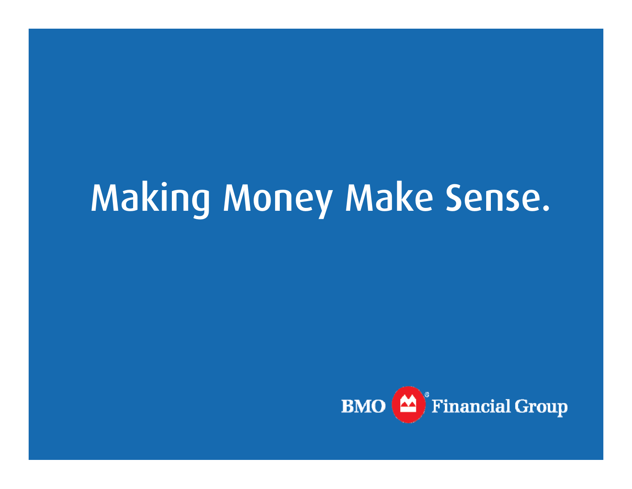# Making Money Make Sense.